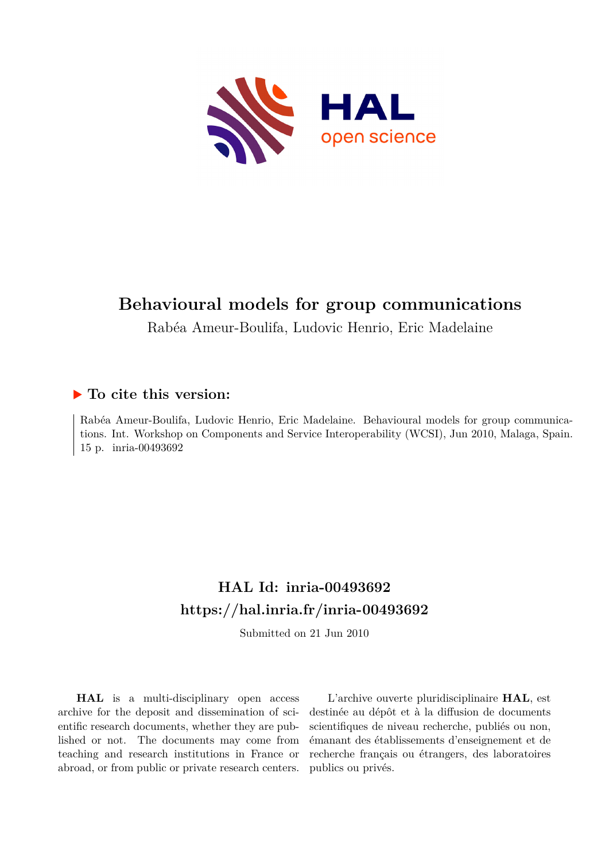

# **Behavioural models for group communications**

Rabéa Ameur-Boulifa, Ludovic Henrio, Eric Madelaine

## **To cite this version:**

Rabéa Ameur-Boulifa, Ludovic Henrio, Eric Madelaine. Behavioural models for group communications. Int. Workshop on Components and Service Interoperability (WCSI), Jun 2010, Malaga, Spain. 15 p. inria-00493692

# **HAL Id: inria-00493692 <https://hal.inria.fr/inria-00493692>**

Submitted on 21 Jun 2010

**HAL** is a multi-disciplinary open access archive for the deposit and dissemination of scientific research documents, whether they are published or not. The documents may come from teaching and research institutions in France or abroad, or from public or private research centers.

L'archive ouverte pluridisciplinaire **HAL**, est destinée au dépôt et à la diffusion de documents scientifiques de niveau recherche, publiés ou non, émanant des établissements d'enseignement et de recherche français ou étrangers, des laboratoires publics ou privés.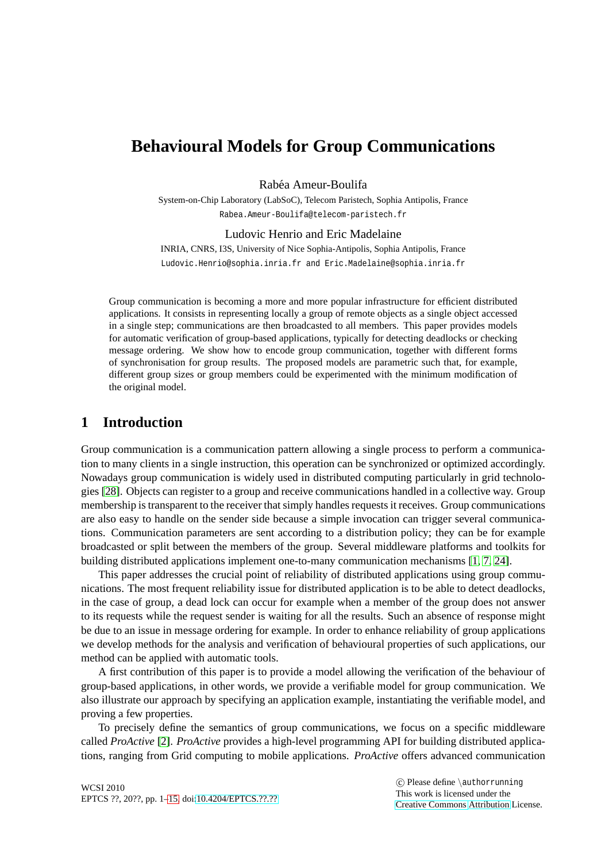## **Behavioural Models for Group Communications**

Rabéa Ameur-Boulifa

System-on-Chip Laboratory (LabSoC), Telecom Paristech, Sophia Antipolis, France Rabea.Ameur-Boulifa@telecom-paristech.fr

#### Ludovic Henrio and Eric Madelaine

INRIA, CNRS, I3S, University of Nice Sophia-Antipolis, Sophia Antipolis, France Ludovic.Henrio@sophia.inria.fr and Eric.Madelaine@sophia.inria.fr

Group communication is becoming a more and more popular infrastructure for efficient distributed applications. It consists in representing locally a group of remote objects as a single object accessed in a single step; communications are then broadcasted to all members. This paper provides models for automatic verification of group-based applications, typically for detecting deadlocks or checking message ordering. We show how to encode group communication, together with different forms of synchronisation for group results. The proposed models are parametric such that, for example, different group sizes or group members could be experimented with the minimum modification of the original model.

## **1 Introduction**

Group communication is a communication pattern allowing a single process to perform a communication to many clients in a single instruction, this operation can be synchronized or optimized accordingly. Nowadays group communication is widely used in distributed computing particularly in grid technologies [\[28\]](#page-15-1). Objects can register to a group and receive communications handled in a collective way. Group membership is transparent to the receiver that simply handles requests it receives. Group communications are also easy to handle on the sender side because a simple invocation can trigger several communications. Communication parameters are sent according to a distribution policy; they can be for example broadcasted or split between the members of the group. Several middleware platforms and toolkits for building distributed applications implement one-to-many communication mechanisms [\[1,](#page-13-0) [7,](#page-14-0) [24\]](#page-14-1).

This paper addresses the crucial point of reliability of distributed applications using group communications. The most frequent reliability issue for distributed application is to be able to detect deadlocks, in the case of group, a dead lock can occur for example when a member of the group does not answer to its requests while the request sender is waiting for all the results. Such an absence of response might be due to an issue in message ordering for example. In order to enhance reliability of group applications we develop methods for the analysis and verification of behavioural properties of such applications, our method can be applied with automatic tools.

A first contribution of this paper is to provide a model allowing the verification of the behaviour of group-based applications, in other words, we provide a verifiable model for group communication. We also illustrate our approach by specifying an application example, instantiating the verifiable model, and proving a few properties.

To precisely define the semantics of group communications, we focus on a specific middleware called *ProActive* [\[2\]](#page-13-1). *ProActive* provides a high-level programming API for building distributed applications, ranging from Grid computing to mobile applications. *ProActive* offers advanced communication

 c Please define \authorrunning This work is licensed under the [Creative Commons](http://creativecommons.org) [Attribution](http://creativecommons.org/licenses/by/3.0/) License.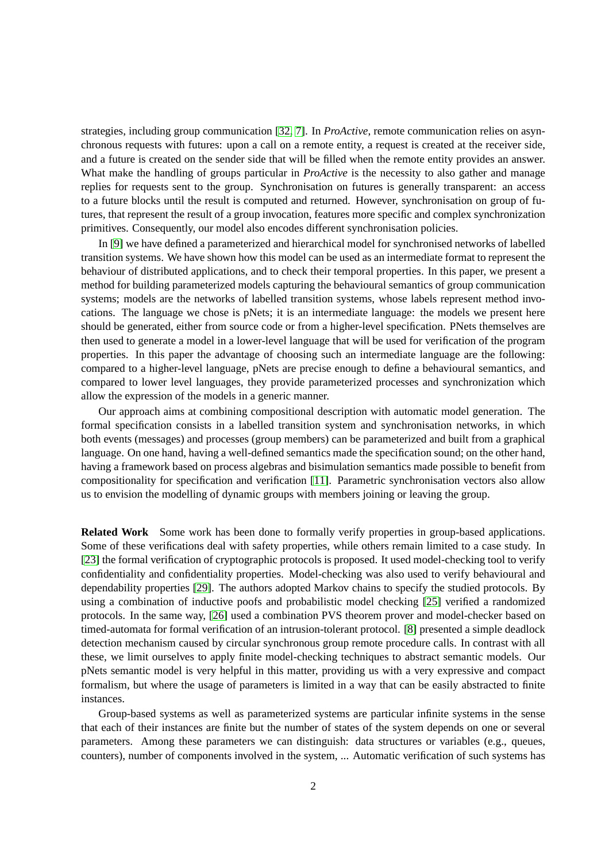strategies, including group communication [\[32,](#page-15-2) [7\]](#page-14-0). In *ProActive*, remote communication relies on asynchronous requests with futures: upon a call on a remote entity, a request is created at the receiver side, and a future is created on the sender side that will be filled when the remote entity provides an answer. What make the handling of groups particular in *ProActive* is the necessity to also gather and manage replies for requests sent to the group. Synchronisation on futures is generally transparent: an access to a future blocks until the result is computed and returned. However, synchronisation on group of futures, that represent the result of a group invocation, features more specific and complex synchronization primitives. Consequently, our model also encodes different synchronisation policies.

In [\[9\]](#page-14-2) we have defined a parameterized and hierarchical model for synchronised networks of labelled transition systems. We have shown how this model can be used as an intermediate format to represent the behaviour of distributed applications, and to check their temporal properties. In this paper, we present a method for building parameterized models capturing the behavioural semantics of group communication systems; models are the networks of labelled transition systems, whose labels represent method invocations. The language we chose is pNets; it is an intermediate language: the models we present here should be generated, either from source code or from a higher-level specification. PNets themselves are then used to generate a model in a lower-level language that will be used for verification of the program properties. In this paper the advantage of choosing such an intermediate language are the following: compared to a higher-level language, pNets are precise enough to define a behavioural semantics, and compared to lower level languages, they provide parameterized processes and synchronization which allow the expression of the models in a generic manner.

Our approach aims at combining compositional description with automatic model generation. The formal specification consists in a labelled transition system and synchronisation networks, in which both events (messages) and processes (group members) can be parameterized and built from a graphical language. On one hand, having a well-defined semantics made the specification sound; on the other hand, having a framework based on process algebras and bisimulation semantics made possible to benefit from compositionality for specification and verification [\[11\]](#page-14-3). Parametric synchronisation vectors also allow us to envision the modelling of dynamic groups with members joining or leaving the group.

**Related Work** Some work has been done to formally verify properties in group-based applications. Some of these verifications deal with safety properties, while others remain limited to a case study. In [\[23\]](#page-14-4) the formal verification of cryptographic protocols is proposed. It used model-checking tool to verify confidentiality and confidentiality properties. Model-checking was also used to verify behavioural and dependability properties [\[29\]](#page-15-3). The authors adopted Markov chains to specify the studied protocols. By using a combination of inductive poofs and probabilistic model checking [\[25\]](#page-15-4) verified a randomized protocols. In the same way, [\[26\]](#page-15-5) used a combination PVS theorem prover and model-checker based on timed-automata for formal verification of an intrusion-tolerant protocol. [\[8\]](#page-14-5) presented a simple deadlock detection mechanism caused by circular synchronous group remote procedure calls. In contrast with all these, we limit ourselves to apply finite model-checking techniques to abstract semantic models. Our pNets semantic model is very helpful in this matter, providing us with a very expressive and compact formalism, but where the usage of parameters is limited in a way that can be easily abstracted to finite instances.

Group-based systems as well as parameterized systems are particular infinite systems in the sense that each of their instances are finite but the number of states of the system depends on one or several parameters. Among these parameters we can distinguish: data structures or variables (e.g., queues, counters), number of components involved in the system, ... Automatic verification of such systems has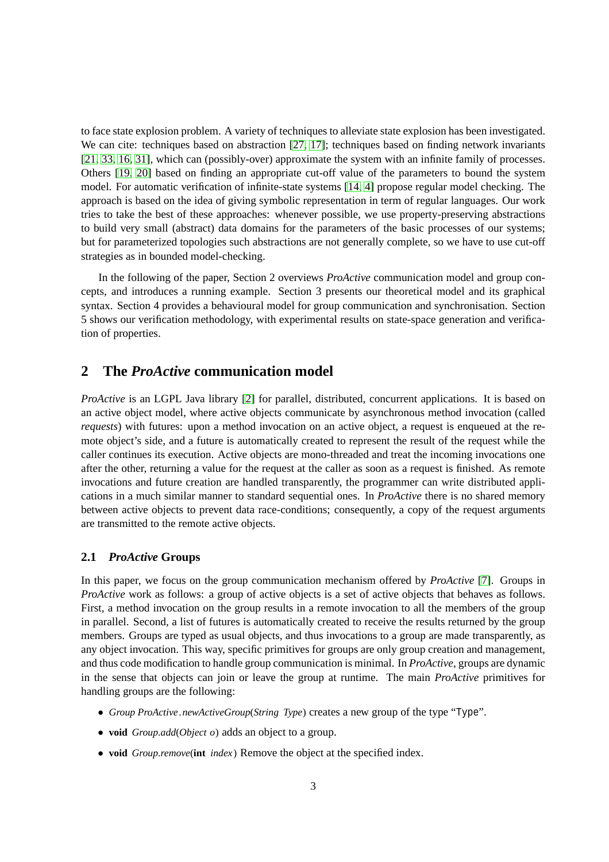to face state explosion problem. A variety of techniques to alleviate state explosion has been investigated. We can cite: techniques based on abstraction [\[27,](#page-15-6) [17\]](#page-14-6); techniques based on finding network invariants [\[21,](#page-14-7) [33,](#page-15-7) [16,](#page-14-8) [31\]](#page-15-8), which can (possibly-over) approximate the system with an infinite family of processes. Others [\[19,](#page-14-9) [20\]](#page-14-10) based on finding an appropriate cut-off value of the parameters to bound the system model. For automatic verification of infinite-state systems [\[14,](#page-14-11) [4\]](#page-14-12) propose regular model checking. The approach is based on the idea of giving symbolic representation in term of regular languages. Our work tries to take the best of these approaches: whenever possible, we use property-preserving abstractions to build very small (abstract) data domains for the parameters of the basic processes of our systems; but for parameterized topologies such abstractions are not generally complete, so we have to use cut-off strategies as in bounded model-checking.

In the following of the paper, Section 2 overviews *ProActive* communication model and group concepts, and introduces a running example. Section 3 presents our theoretical model and its graphical syntax. Section 4 provides a behavioural model for group communication and synchronisation. Section 5 shows our verification methodology, with experimental results on state-space generation and verification of properties.

### **2 The** *ProActive* **communication model**

*ProActive* is an LGPL Java library [\[2\]](#page-13-1) for parallel, distributed, concurrent applications. It is based on an active object model, where active objects communicate by asynchronous method invocation (called *requests*) with futures: upon a method invocation on an active object, a request is enqueued at the remote object's side, and a future is automatically created to represent the result of the request while the caller continues its execution. Active objects are mono-threaded and treat the incoming invocations one after the other, returning a value for the request at the caller as soon as a request is finished. As remote invocations and future creation are handled transparently, the programmer can write distributed applications in a much similar manner to standard sequential ones. In *ProActive* there is no shared memory between active objects to prevent data race-conditions; consequently, a copy of the request arguments are transmitted to the remote active objects.

#### **2.1** *ProActive* **Groups**

In this paper, we focus on the group communication mechanism offered by *ProActive* [\[7\]](#page-14-0). Groups in *ProActive* work as follows: a group of active objects is a set of active objects that behaves as follows. First, a method invocation on the group results in a remote invocation to all the members of the group in parallel. Second, a list of futures is automatically created to receive the results returned by the group members. Groups are typed as usual objects, and thus invocations to a group are made transparently, as any object invocation. This way, specific primitives for groups are only group creation and management, and thus code modification to handle group communication is minimal. In *ProActive*, groups are dynamic in the sense that objects can join or leave the group at runtime. The main *ProActive* primitives for handling groups are the following:

- *Group ProActive*.*newActiveGroup*(*String Type*) creates a new group of the type "Type".
- **void** *Group*.*add*(*Object o*) adds an object to a group.
- **void** *Group*.*remove*(**int** *index* ) Remove the object at the specified index.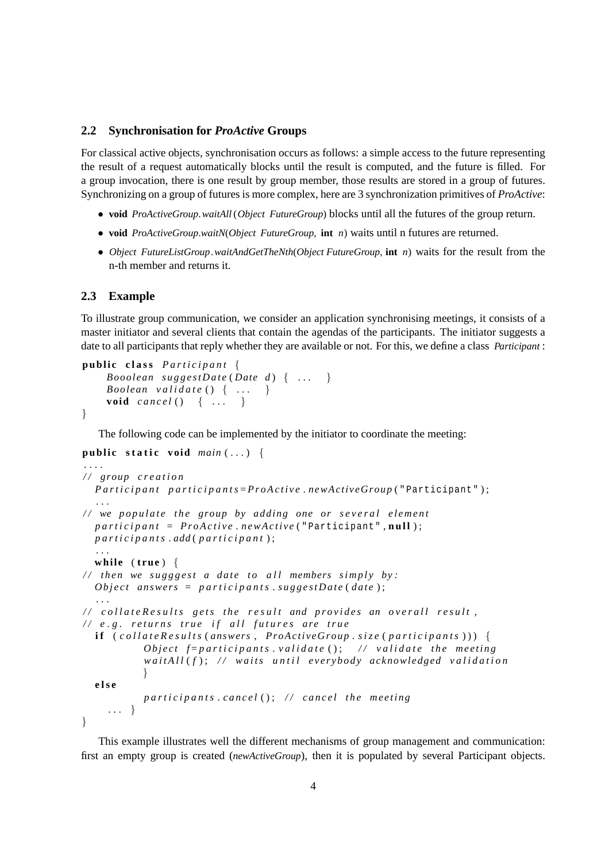#### <span id="page-4-0"></span>**2.2 Synchronisation for** *ProActive* **Groups**

For classical active objects, synchronisation occurs as follows: a simple access to the future representing the result of a request automatically blocks until the result is computed, and the future is filled. For a group invocation, there is one result by group member, those results are stored in a group of futures. Synchronizing on a group of futures is more complex, here are 3 synchronization primitives of *ProActive*:

- **void** *ProActiveGroup*.*waitAll* (*Object FutureGroup*) blocks until all the futures of the group return.
- **void** *ProActiveGroup*.*waitN*(*Object FutureGroup*, **int** *n*) waits until n futures are returned.
- *Object FutureListGroup*.*waitAndGetTheNth*(*Object FutureGroup*, **int** *n*) waits for the result from the n-th member and returns it.

#### **2.3 Example**

To illustrate group communication, we consider an application synchronising meetings, it consists of a master initiator and several clients that contain the agendas of the participants. The initiator suggests a date to all participants that reply whether they are available or not. For this, we define a class *Participant* :

```
public class Participant {
   Booolean suggestDate (Date d) { ... }
   Boolean validate () { ... }
   void cancel() { ... }
}
```
The following code can be implemented by the initiator to coordinate the meeting:

```
public static void main (...) {
. . . .
/ / group c r e a t i o n
  Participant participants=ProActive.newActiveGroup ("Participant");
   . . .
// we populate the group by adding one or several element
  participant = ProActive.newActive("Participant",null);
  p a r t i c i p a n t s . add ( p a r t i c i p a n t ) ;
   . . .
  \textbf{while} \text{ (true)}\frac{1}{\sqrt{2}} then we sugggest a date to all members simply by:
  Object answers = participants . suggestDate (date);
   . . .
/ / c o l l a t e R e s u l t s g e t s t h e r e s u l t and p r o v i d e s an o v e r a l l r e s u l t ,
/ / e . g . r e t u r n s t r u e i f a l l f u t u r e s are t r u e
  i f ( c o l l a t e R e s u l t s ( answers , ProActiveGroup . s i z e ( p a r t i c i p a n t s ) ) ) {
             Object f=participants.validate (); // validate the meeting
             waitAll(f); // waits until everybody acknowledged validation
             }
  e l s e
            participants.cancel(); // cancel the meeting
     . . . }
}
```
This example illustrates well the different mechanisms of group management and communication: first an empty group is created (*newActiveGroup*), then it is populated by several Participant objects.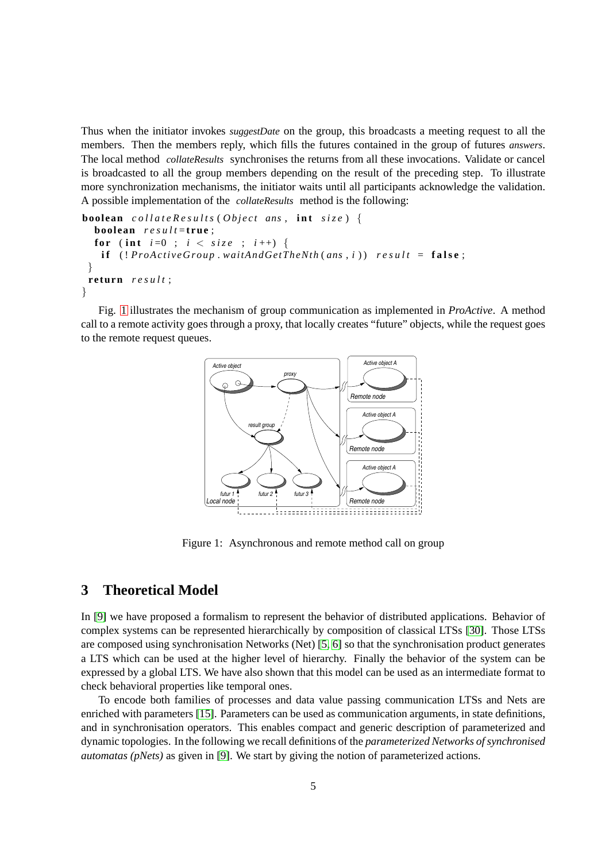Thus when the initiator invokes *suggestDate* on the group, this broadcasts a meeting request to all the members. Then the members reply, which fills the futures contained in the group of futures *answers*. The local method *collateResults* synchronises the returns from all these invocations. Validate or cancel is broadcasted to all the group members depending on the result of the preceding step. To illustrate more synchronization mechanisms, the initiator waits until all participants acknowledge the validation. A possible implementation of the *collateResults* method is the following:

```
boolean c o l l a t e R e s u l t s ( O b j e c t ans , i n t s i z e ) {
  boolean r e s u l t = t rue ;
  for (int i=0); i < size; i+1) {
    if (!ProActiveGroup.waitAndGetTheNth(ans, i)) result = false;
 }
 return r e s u l t ;
}
```
Fig. [1](#page-5-0) illustrates the mechanism of group communication as implemented in *ProActive*. A method call to a remote activity goes through a proxy, that locally creates "future" objects, while the request goes to the remote request queues.



<span id="page-5-0"></span>Figure 1: Asynchronous and remote method call on group

## **3 Theoretical Model**

In [\[9\]](#page-14-2) we have proposed a formalism to represent the behavior of distributed applications. Behavior of complex systems can be represented hierarchically by composition of classical LTSs [\[30\]](#page-15-9). Those LTSs are composed using synchronisation Networks (Net) [\[5,](#page-14-13) [6\]](#page-14-14) so that the synchronisation product generates a LTS which can be used at the higher level of hierarchy. Finally the behavior of the system can be expressed by a global LTS. We have also shown that this model can be used as an intermediate format to check behavioral properties like temporal ones.

To encode both families of processes and data value passing communication LTSs and Nets are enriched with parameters [\[15\]](#page-14-15). Parameters can be used as communication arguments, in state definitions, and in synchronisation operators. This enables compact and generic description of parameterized and dynamic topologies. In the following we recall definitions of the *parameterized Networks of synchronised automatas (pNets)* as given in [\[9\]](#page-14-2). We start by giving the notion of parameterized actions.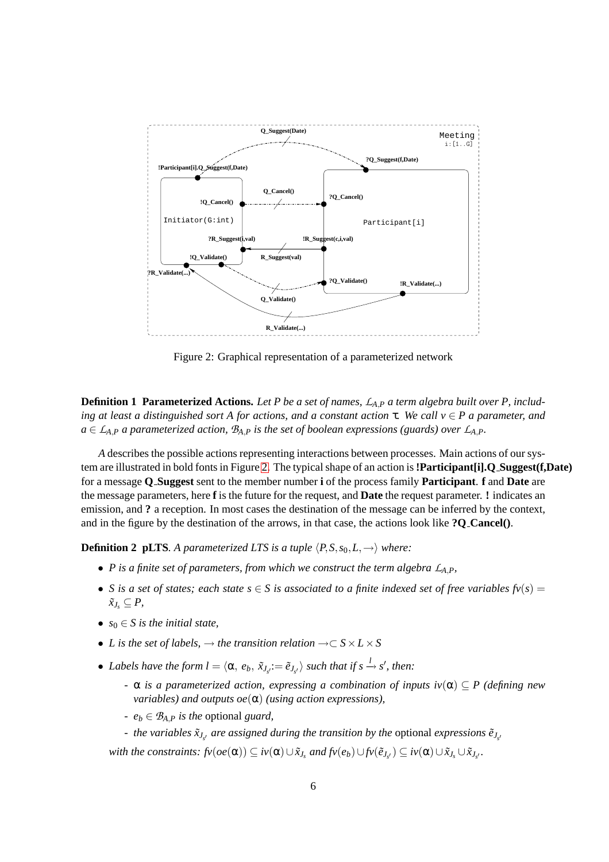

<span id="page-6-0"></span>Figure 2: Graphical representation of a parameterized network

**Definition 1 Parameterized Actions.** *Let P be a set of names, L<sup>A</sup>*,*<sup>P</sup> a term algebra built over P, including at least a distinguished sort A for actions, and a constant action* τ*. We call v* ∈ *P a parameter, and*  $a \in L_{A,P}$  *a parameterized action,*  $B_{A,P}$  *is the set of boolean expressions (guards) over*  $L_{A,P}$ *.* 

*A* describes the possible actions representing interactions between processes. Main actions of our system are illustrated in bold fonts in Figure [2.](#page-6-0) The typical shape of an action is**!Participant[i].Q Suggest(f,Date)** for a message **Q Suggest** sent to the member number **i** of the process family **Participant**. **f** and **Date** are the message parameters, here **f** is the future for the request, and **Date** the request parameter. **!** indicates an emission, and **?** a reception. In most cases the destination of the message can be inferred by the context, and in the figure by the destination of the arrows, in that case, the actions look like **?Q Cancel()**.

**Definition 2 pLTS***. A parameterized LTS is a tuple*  $\langle P, S, s_0, L, \rightarrow \rangle$  *where:* 

- *P* is a finite set of parameters, from which we construct the term algebra  $L_{A,P}$ ,
- *S* is a set of states; each state  $s \in S$  is associated to a finite indexed set of free variables  $f\nu(s) =$  $\tilde{x}_J$ *s* ⊆  $P$ ,
- $s_0 \in S$  *is the initial state.*
- *L* is the set of labels,  $\rightarrow$  the transition relation  $\rightarrow \subset S \times L \times S$
- *Labels have the form*  $l = \langle \alpha, e_b, \tilde{x}_{J_s} := \tilde{e}_{J_s} \rangle$  *such that if*  $s \xrightarrow{l} s'$ *, then:* 
	- *-* α *is a parameterized action, expressing a combination of inputs iv*(α) ⊂ *P (defining new variables) and outputs oe*(α) *(using action expressions),*
	- *e<sup>b</sup>* <sup>∈</sup> *B<sup>A</sup>*,*<sup>P</sup> is the* optional *guard,*
	- *- the variables*  $\tilde{x}_{J_{s'}}$  *are assigned during the transition by the optional expressions*  $\tilde{e}_{J_{s'}}$

with the constraints:  $f_V(oe(\alpha)) \subseteq iv(\alpha) \cup \tilde{x}_{J_s}$  and  $f_V(e_b) \cup f_V(\tilde{e}_{J_{s'}}) \subseteq iv(\alpha) \cup \tilde{x}_{J_s} \cup \tilde{x}_{J_{s'}}$ .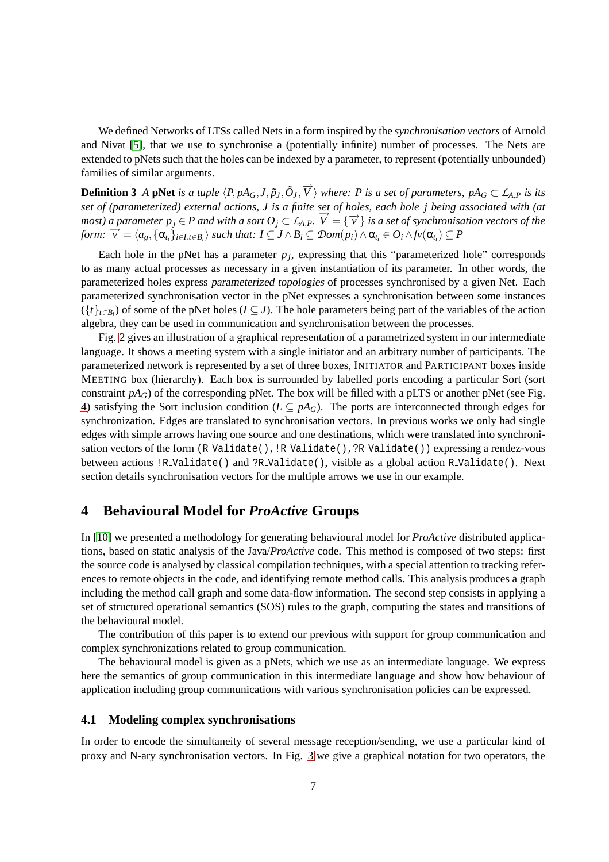We defined Networks of LTSs called Nets in a form inspired by the *synchronisation vectors* of Arnold and Nivat [\[5\]](#page-14-13), that we use to synchronise a (potentially infinite) number of processes. The Nets are extended to pNets such that the holes can be indexed by a parameter, to represent (potentially unbounded) families of similar arguments.

**Definition 3** A pNet is a tuple  $\langle P, pA_G, J, \tilde{p}_J, \tilde{O}_J, \overrightarrow{V} \rangle$  where: P is a set of parameters,  $pA_G \subset \mathcal{L}_{A,P}$  is its *set of (parameterized) external actions, J is a finite set of holes, each hole j being associated with (at most*) a parameter  $p_j \in P$  and with a sort  $O_j \subset L_{A,P}$ .  $\overrightarrow{V} = {\overrightarrow{v}}$  is a set of synchronisation vectors of the form:  $\overrightarrow{v} = \langle a_g, \{\alpha_{i_i}\}_{i \in I, t \in B_i} \rangle$  such that:  $I \subseteq J \wedge B_i \subseteq \mathcal{D}om(p_i) \wedge \alpha_{t_i} \in O_i \wedge \text{fv}(\alpha_{t_i}) \subseteq P$ 

Each hole in the pNet has a parameter  $p_j$ , expressing that this "parameterized hole" corresponds to as many actual processes as necessary in a given instantiation of its parameter. In other words, the parameterized holes express parameterized topologies of processes synchronised by a given Net. Each parameterized synchronisation vector in the pNet expresses a synchronisation between some instances  $(\{t\}_{t\in B_i})$  of some of the pNet holes ( $I \subseteq J$ ). The hole parameters being part of the variables of the action algebra, they can be used in communication and synchronisation between the processes.

Fig. [2](#page-6-0) gives an illustration of a graphical representation of a parametrized system in our intermediate language. It shows a meeting system with a single initiator and an arbitrary number of participants. The parameterized network is represented by a set of three boxes, INITIATOR and PARTICIPANT boxes inside MEETING box (hierarchy). Each box is surrounded by labelled ports encoding a particular Sort (sort constraint  $pA_G$ ) of the corresponding pNet. The box will be filled with a pLTS or another pNet (see Fig. [4\)](#page-10-0) satisfying the Sort inclusion condition ( $L \subseteq pA_G$ ). The ports are interconnected through edges for synchronization. Edges are translated to synchronisation vectors. In previous works we only had single edges with simple arrows having one source and one destinations, which were translated into synchronisation vectors of the form (R\_Validate(), !R\_Validate(), ?R\_Validate()) expressing a rendez-vous between actions !R Validate() and ?R Validate(), visible as a global action R Validate(). Next section details synchronisation vectors for the multiple arrows we use in our example.

### **4 Behavioural Model for** *ProActive* **Groups**

In [\[10\]](#page-14-16) we presented a methodology for generating behavioural model for *ProActive* distributed applications, based on static analysis of the Java/*ProActive* code. This method is composed of two steps: first the source code is analysed by classical compilation techniques, with a special attention to tracking references to remote objects in the code, and identifying remote method calls. This analysis produces a graph including the method call graph and some data-flow information. The second step consists in applying a set of structured operational semantics (SOS) rules to the graph, computing the states and transitions of the behavioural model.

The contribution of this paper is to extend our previous with support for group communication and complex synchronizations related to group communication.

The behavioural model is given as a pNets, which we use as an intermediate language. We express here the semantics of group communication in this intermediate language and show how behaviour of application including group communications with various synchronisation policies can be expressed.

#### <span id="page-7-0"></span>**4.1 Modeling complex synchronisations**

In order to encode the simultaneity of several message reception/sending, we use a particular kind of proxy and N-ary synchronisation vectors. In Fig. [3](#page-8-0) we give a graphical notation for two operators, the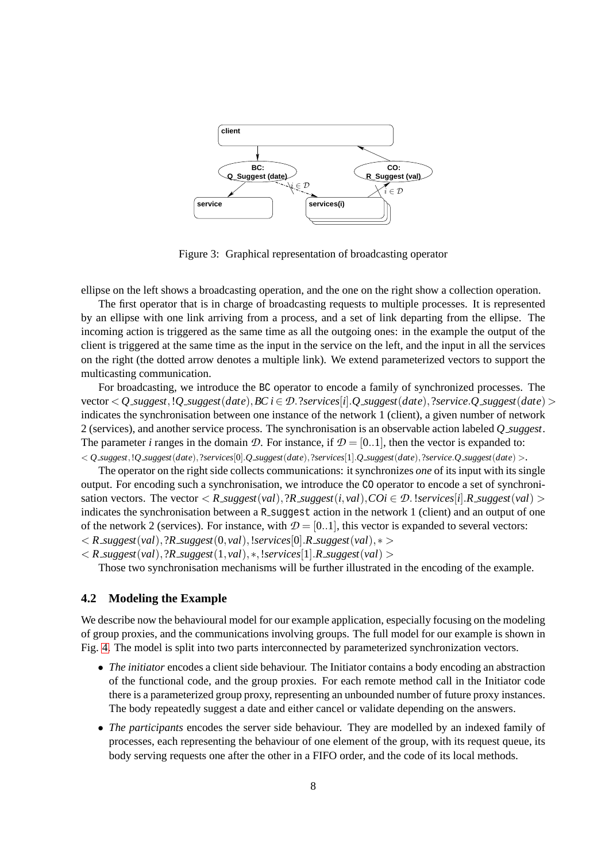

<span id="page-8-0"></span>Figure 3: Graphical representation of broadcasting operator

ellipse on the left shows a broadcasting operation, and the one on the right show a collection operation.

The first operator that is in charge of broadcasting requests to multiple processes. It is represented by an ellipse with one link arriving from a process, and a set of link departing from the ellipse. The incoming action is triggered as the same time as all the outgoing ones: in the example the output of the client is triggered at the same time as the input in the service on the left, and the input in all the services on the right (the dotted arrow denotes a multiple link). We extend parameterized vectors to support the multicasting communication.

For broadcasting, we introduce the BC operator to encode a family of synchronized processes. The  $\text{vector} < Q$   $\text{supgest}, Q$   $\text{supgest}(date), BC \in \mathcal{D}$ . ? $\text{sevices}[i]$ .  $Q$   $\text{supgest}(date),$  ? $\text{sevice}.$   $Q$   $\text{supgest}(date)$  > indicates the synchronisation between one instance of the network 1 (client), a given number of network 2 (services), and another service process. The synchronisation is an observable action labeled *Q suggest*. The parameter *i* ranges in the domain *D*. For instance, if  $\mathcal{D} = [0..1]$ , then the vector is expanded to:  $Q_{s} = Q_{s} = Q_{t}$   $Q_{s} = Q_{t}$   $Q_{t}$   $Q_{t}$   $Q_{t}$   $Q_{t}$   $Q_{t}$   $Q_{t}$   $Q_{t}$   $Q_{t}$   $Q_{t}$   $Q_{t}$   $Q_{t}$   $Q_{t}$   $Q_{t}$   $Q_{t}$   $Q_{t}$   $Q_{t}$   $Q_{t}$   $Q_{t}$   $Q_{t}$   $Q_{t}$   $Q_{t}$   $Q_{t}$   $Q_{t}$   $Q_{t}$   $Q_{t}$   $Q_{t}$   $Q_{t}$   $Q_{$ 

The operator on the right side collects communications: it synchronizes *one* of its input with its single output. For encoding such a synchronisation, we introduce the CO operator to encode a set of synchronisation vectors. The vector  $\langle R \text{.} suggest(val), ?R \text{.} suggest(i, val), COi \in \mathcal{D}$ . !services[*i*].*R*  $\text{.} suggest(val)$ indicates the synchronisation between a R\_suggest action in the network 1 (client) and an output of one of the network 2 (services). For instance, with  $\mathcal{D} = [0..1]$ , this vector is expanded to several vectors:  $R_{\text{1}}$  *suggest*(*val*), ?*R\_suggest*(0, *val*), !*services*[0] *.R\_suggest*(*val*),  $*$  >

 $\langle R \text{ [s]}(val), ?R \text{ [s]}(1, val), *, ! \text{ [s]}(all), R \text{ [s]}(val) \rangle$ 

Those two synchronisation mechanisms will be further illustrated in the encoding of the example.

#### **4.2 Modeling the Example**

We describe now the behavioural model for our example application, especially focusing on the modeling of group proxies, and the communications involving groups. The full model for our example is shown in Fig. [4.](#page-10-0) The model is split into two parts interconnected by parameterized synchronization vectors.

- *The initiator* encodes a client side behaviour. The Initiator contains a body encoding an abstraction of the functional code, and the group proxies. For each remote method call in the Initiator code there is a parameterized group proxy, representing an unbounded number of future proxy instances. The body repeatedly suggest a date and either cancel or validate depending on the answers.
- *The participants* encodes the server side behaviour. They are modelled by an indexed family of processes, each representing the behaviour of one element of the group, with its request queue, its body serving requests one after the other in a FIFO order, and the code of its local methods.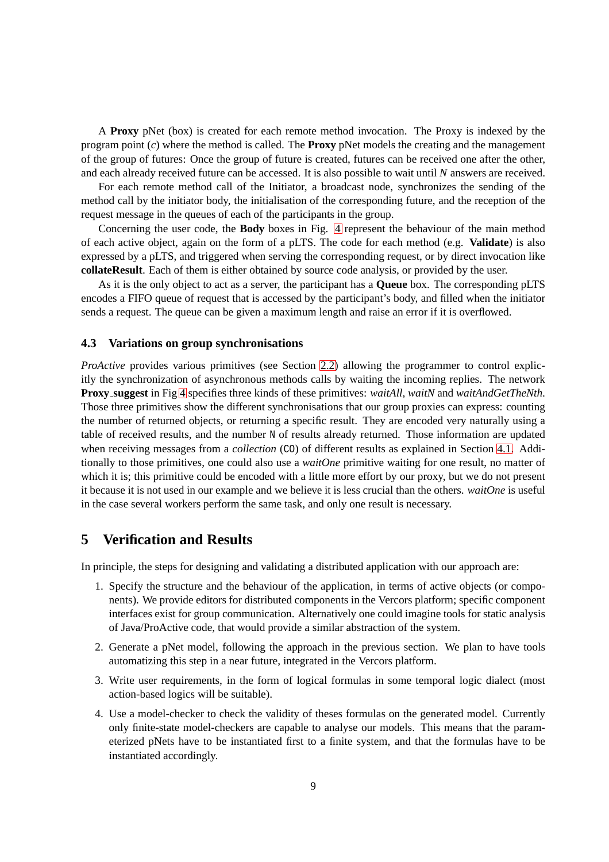A **Proxy** pNet (box) is created for each remote method invocation. The Proxy is indexed by the program point (*c*) where the method is called. The **Proxy** pNet models the creating and the management of the group of futures: Once the group of future is created, futures can be received one after the other, and each already received future can be accessed. It is also possible to wait until *N* answers are received.

For each remote method call of the Initiator, a broadcast node, synchronizes the sending of the method call by the initiator body, the initialisation of the corresponding future, and the reception of the request message in the queues of each of the participants in the group.

Concerning the user code, the **Body** boxes in Fig. [4](#page-10-0) represent the behaviour of the main method of each active object, again on the form of a pLTS. The code for each method (e.g. **Validate**) is also expressed by a pLTS, and triggered when serving the corresponding request, or by direct invocation like **collateResult**. Each of them is either obtained by source code analysis, or provided by the user.

As it is the only object to act as a server, the participant has a **Queue** box. The corresponding pLTS encodes a FIFO queue of request that is accessed by the participant's body, and filled when the initiator sends a request. The queue can be given a maximum length and raise an error if it is overflowed.

#### **4.3 Variations on group synchronisations**

*ProActive* provides various primitives (see Section [2.2\)](#page-4-0) allowing the programmer to control explicitly the synchronization of asynchronous methods calls by waiting the incoming replies. The network **Proxy suggest** in Fig [4](#page-10-0) specifies three kinds of these primitives: *waitAll*, *waitN* and *waitAndGetTheNth*. Those three primitives show the different synchronisations that our group proxies can express: counting the number of returned objects, or returning a specific result. They are encoded very naturally using a table of received results, and the number N of results already returned. Those information are updated when receiving messages from a *collection* (CO) of different results as explained in Section [4.1.](#page-7-0) Additionally to those primitives, one could also use a *waitOne* primitive waiting for one result, no matter of which it is; this primitive could be encoded with a little more effort by our proxy, but we do not present it because it is not used in our example and we believe it is less crucial than the others. *waitOne* is useful in the case several workers perform the same task, and only one result is necessary.

## **5 Verification and Results**

In principle, the steps for designing and validating a distributed application with our approach are:

- 1. Specify the structure and the behaviour of the application, in terms of active objects (or components). We provide editors for distributed components in the Vercors platform; specific component interfaces exist for group communication. Alternatively one could imagine tools for static analysis of Java/ProActive code, that would provide a similar abstraction of the system.
- 2. Generate a pNet model, following the approach in the previous section. We plan to have tools automatizing this step in a near future, integrated in the Vercors platform.
- 3. Write user requirements, in the form of logical formulas in some temporal logic dialect (most action-based logics will be suitable).
- 4. Use a model-checker to check the validity of theses formulas on the generated model. Currently only finite-state model-checkers are capable to analyse our models. This means that the parameterized pNets have to be instantiated first to a finite system, and that the formulas have to be instantiated accordingly.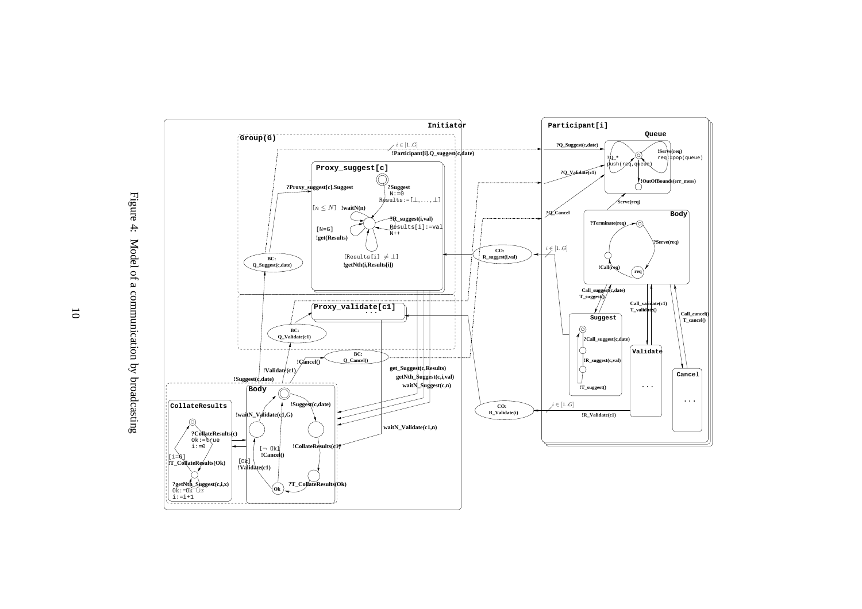

<span id="page-10-0"></span>10

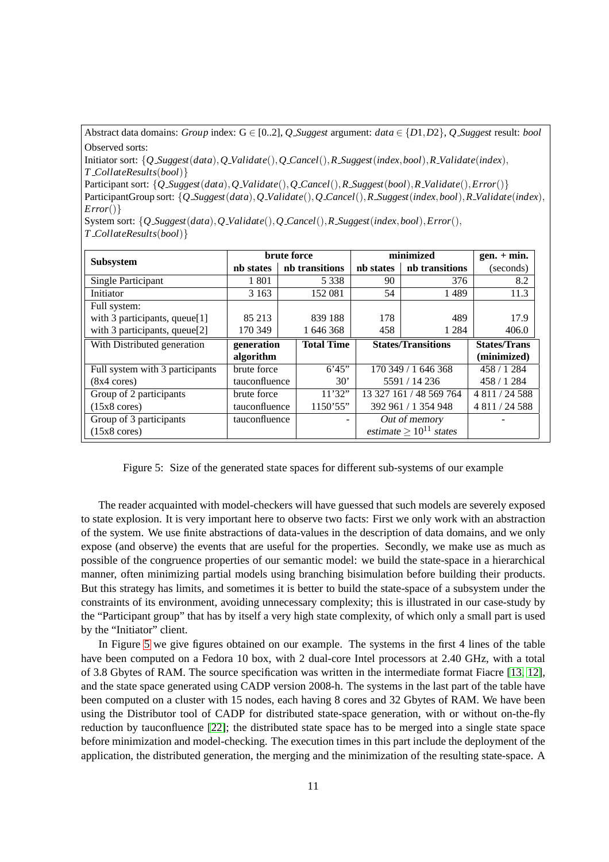Abstract data domains: *Group* index:  $G \in [0..2]$ , *Q Suggest* argument: *data*  $\in \{D1, D2\}$ , *Q Suggest* result: *bool* Observed sorts:

Initiator sort: {*Q Suggest*(*data*),*Q Validate*(),*Q Cancel*(),*R Suggest*(*index*,*bool*),*R Validate*(*index*), *T CollateResults*(*bool*)}

Participant sort: {*Q Suggest*(*data*),*Q Validate*(),*Q Cancel*(),*R Suggest*(*bool*),*R Validate*(),*Error*()} ParticipantGroup sort: {*Q Suggest*(*data*),*Q Validate*(),*Q Cancel*(),*R Suggest*(*index*,*bool*),*R Validate*(*index*), *Error*()}

System sort: {*Q Suggest*(*data*),*Q Validate*(),*Q Cancel*(),*R Suggest*(*index*,*bool*),*Error*(), *T CollateResults*(*bool*)}

|                                 | brute force   |  |                   | minimized                   |                     | $gen. + min.$       |
|---------------------------------|---------------|--|-------------------|-----------------------------|---------------------|---------------------|
| <b>Subsystem</b>                | nh states     |  | nb transitions    | nh states                   | nb transitions      | (seconds)           |
| Single Participant              | 1 801         |  | 5 3 3 8           | 90                          | 376                 | 8.2                 |
| Initiator                       | 3 1 6 3       |  | 152 081           | 54                          | 1489                | 11.3                |
| Full system:                    |               |  |                   |                             |                     |                     |
| with 3 participants, queue[1]   | 85 213        |  | 839 188           | 178                         | 489                 | 17.9                |
| with 3 participants, queue[2]   | 170 349       |  | 1 646 368         | 458                         | 1 2 8 4             | 406.0               |
| With Distributed generation     | generation    |  | <b>Total Time</b> | <b>States/Transitions</b>   |                     | <b>States/Trans</b> |
|                                 | algorithm     |  |                   |                             |                     | (minimized)         |
| Full system with 3 participants | brute force   |  | 6'45"             | 170 349 / 1 646 368         |                     | 458 / 1284          |
| $(8x4 \text{ cores})$           | tauconfluence |  | $30^{\circ}$      | 5591 / 14 236               |                     | 458 / 1284          |
| Group of 2 participants         | brute force   |  | 11'32"            | 13 327 161 / 48 569 764     |                     | 4 811 / 24 588      |
| $(15x8 \text{ cores})$          | tauconfluence |  | 1150'55"          |                             | 392 961 / 1 354 948 | 4 811 / 24 588      |
| Group of 3 participants         | tauconfluence |  |                   |                             | Out of memory       |                     |
| $(15x8 \text{ cores})$          |               |  |                   | estimate $> 10^{11}$ states |                     |                     |

<span id="page-11-0"></span>Figure 5: Size of the generated state spaces for different sub-systems of our example

The reader acquainted with model-checkers will have guessed that such models are severely exposed to state explosion. It is very important here to observe two facts: First we only work with an abstraction of the system. We use finite abstractions of data-values in the description of data domains, and we only expose (and observe) the events that are useful for the properties. Secondly, we make use as much as possible of the congruence properties of our semantic model: we build the state-space in a hierarchical manner, often minimizing partial models using branching bisimulation before building their products. But this strategy has limits, and sometimes it is better to build the state-space of a subsystem under the constraints of its environment, avoiding unnecessary complexity; this is illustrated in our case-study by the "Participant group" that has by itself a very high state complexity, of which only a small part is used by the "Initiator" client.

In Figure [5](#page-11-0) we give figures obtained on our example. The systems in the first 4 lines of the table have been computed on a Fedora 10 box, with 2 dual-core Intel processors at 2.40 GHz, with a total of 3.8 Gbytes of RAM. The source specification was written in the intermediate format Fiacre [\[13,](#page-14-17) [12\]](#page-14-18), and the state space generated using CADP version 2008-h. The systems in the last part of the table have been computed on a cluster with 15 nodes, each having 8 cores and 32 Gbytes of RAM. We have been using the Distributor tool of CADP for distributed state-space generation, with or without on-the-fly reduction by tauconfluence [\[22\]](#page-14-19); the distributed state space has to be merged into a single state space before minimization and model-checking. The execution times in this part include the deployment of the application, the distributed generation, the merging and the minimization of the resulting state-space. A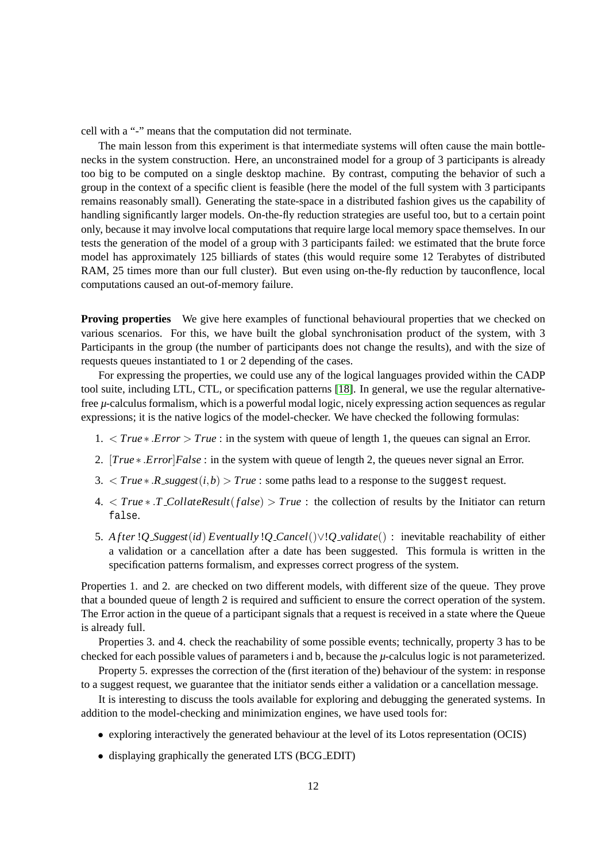cell with a "-" means that the computation did not terminate.

The main lesson from this experiment is that intermediate systems will often cause the main bottlenecks in the system construction. Here, an unconstrained model for a group of 3 participants is already too big to be computed on a single desktop machine. By contrast, computing the behavior of such a group in the context of a specific client is feasible (here the model of the full system with 3 participants remains reasonably small). Generating the state-space in a distributed fashion gives us the capability of handling significantly larger models. On-the-fly reduction strategies are useful too, but to a certain point only, because it may involve local computations that require large local memory space themselves. In our tests the generation of the model of a group with 3 participants failed: we estimated that the brute force model has approximately 125 billiards of states (this would require some 12 Terabytes of distributed RAM, 25 times more than our full cluster). But even using on-the-fly reduction by tauconflence, local computations caused an out-of-memory failure.

**Proving properties** We give here examples of functional behavioural properties that we checked on various scenarios. For this, we have built the global synchronisation product of the system, with 3 Participants in the group (the number of participants does not change the results), and with the size of requests queues instantiated to 1 or 2 depending of the cases.

For expressing the properties, we could use any of the logical languages provided within the CADP tool suite, including LTL, CTL, or specification patterns [\[18\]](#page-14-20). In general, we use the regular alternativefree *µ*-calculus formalism, which is a powerful modal logic, nicely expressing action sequences as regular expressions; it is the native logics of the model-checker. We have checked the following formulas:

- 1. < *True* ∗ .*Error* > *True* : in the system with queue of length 1, the queues can signal an Error.
- 2. [*True* ∗ .*Error*]*False* : in the system with queue of length 2, the queues never signal an Error.
- 3.  $\langle True \times R$  *suggest*(*i*,*b*)  $\geq True$  : some paths lead to a response to the suggest request.
- 4. < *True* ∗ .*T CollateResult*(*f alse*) > *True* : the collection of results by the Initiator can return false.
- 5. *A fter* !*Q Suggest*(*id*) *Eventually* !*Q Cancel*()∨!*Q validate*() : inevitable reachability of either a validation or a cancellation after a date has been suggested. This formula is written in the specification patterns formalism, and expresses correct progress of the system.

Properties 1. and 2. are checked on two different models, with different size of the queue. They prove that a bounded queue of length 2 is required and sufficient to ensure the correct operation of the system. The Error action in the queue of a participant signals that a request is received in a state where the Queue is already full.

Properties 3. and 4. check the reachability of some possible events; technically, property 3 has to be checked for each possible values of parameters i and b, because the *µ*-calculus logic is not parameterized.

Property 5. expresses the correction of the (first iteration of the) behaviour of the system: in response to a suggest request, we guarantee that the initiator sends either a validation or a cancellation message.

It is interesting to discuss the tools available for exploring and debugging the generated systems. In addition to the model-checking and minimization engines, we have used tools for:

- exploring interactively the generated behaviour at the level of its Lotos representation (OCIS)
- displaying graphically the generated LTS (BCG\_EDIT)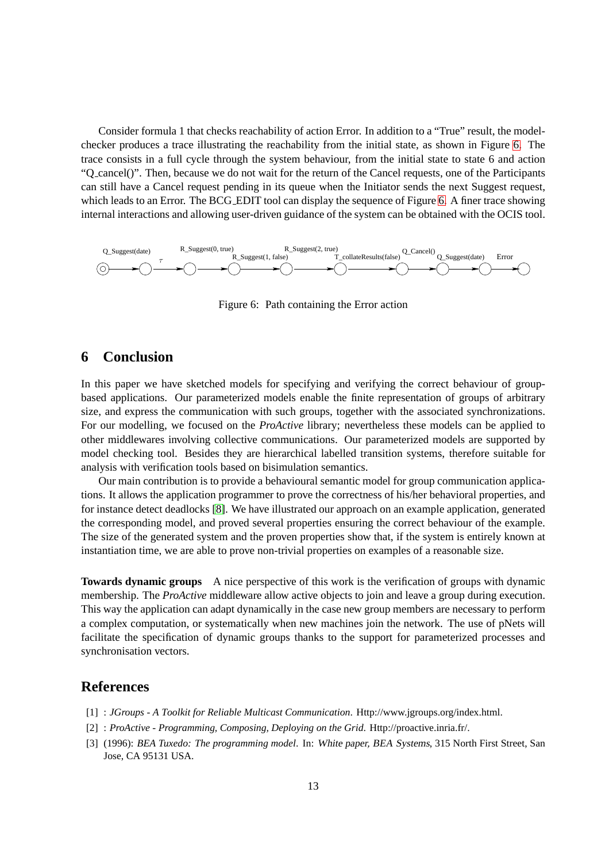Consider formula 1 that checks reachability of action Error. In addition to a "True" result, the modelchecker produces a trace illustrating the reachability from the initial state, as shown in Figure [6.](#page-13-2) The trace consists in a full cycle through the system behaviour, from the initial state to state 6 and action "Q cancel()". Then, because we do not wait for the return of the Cancel requests, one of the Participants can still have a Cancel request pending in its queue when the Initiator sends the next Suggest request, which leads to an Error. The BCG\_EDIT tool can display the sequence of Figure [6.](#page-13-2) A finer trace showing internal interactions and allowing user-driven guidance of the system can be obtained with the OCIS tool.



<span id="page-13-2"></span>Figure 6: Path containing the Error action

## **6 Conclusion**

In this paper we have sketched models for specifying and verifying the correct behaviour of groupbased applications. Our parameterized models enable the finite representation of groups of arbitrary size, and express the communication with such groups, together with the associated synchronizations. For our modelling, we focused on the *ProActive* library; nevertheless these models can be applied to other middlewares involving collective communications. Our parameterized models are supported by model checking tool. Besides they are hierarchical labelled transition systems, therefore suitable for analysis with verification tools based on bisimulation semantics.

Our main contribution is to provide a behavioural semantic model for group communication applications. It allows the application programmer to prove the correctness of his/her behavioral properties, and for instance detect deadlocks [\[8\]](#page-14-5). We have illustrated our approach on an example application, generated the corresponding model, and proved several properties ensuring the correct behaviour of the example. The size of the generated system and the proven properties show that, if the system is entirely known at instantiation time, we are able to prove non-trivial properties on examples of a reasonable size.

**Towards dynamic groups** A nice perspective of this work is the verification of groups with dynamic membership. The *ProActive* middleware allow active objects to join and leave a group during execution. This way the application can adapt dynamically in the case new group members are necessary to perform a complex computation, or systematically when new machines join the network. The use of pNets will facilitate the specification of dynamic groups thanks to the support for parameterized processes and synchronisation vectors.

## <span id="page-13-0"></span>**References**

- <span id="page-13-1"></span>[1] : *JGroups - A Toolkit for Reliable Multicast Communication*. Http://www.jgroups.org/index.html.
- [2] : *ProActive Programming, Composing, Deploying on the Grid*. Http://proactive.inria.fr/.
- [3] (1996): *BEA Tuxedo: The programming model*. In: White paper, BEA Systems, 315 North First Street, San Jose, CA 95131 USA.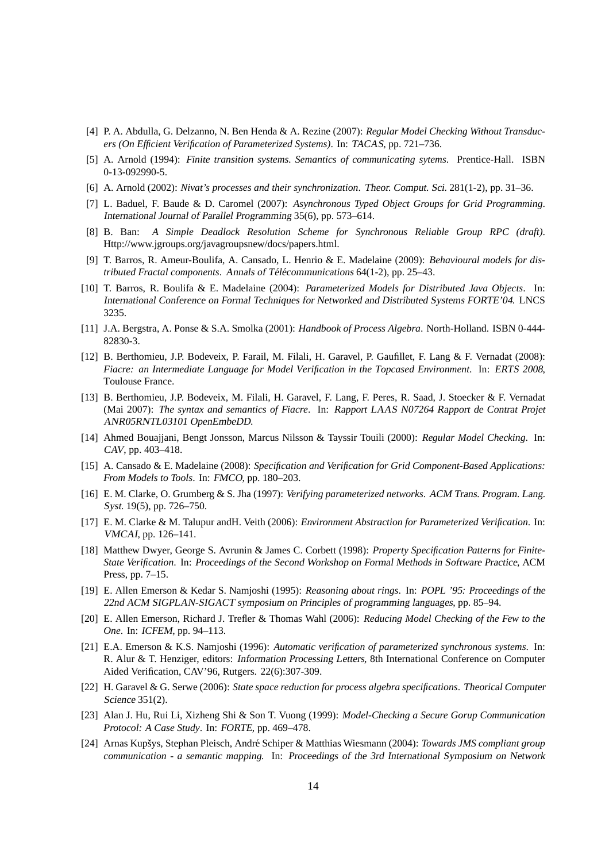- <span id="page-14-12"></span>[4] P. A. Abdulla, G. Delzanno, N. Ben Henda & A. Rezine (2007): *Regular Model Checking Without Transducers (On Efficient Verification of Parameterized Systems)*. In: TACAS, pp. 721–736.
- <span id="page-14-14"></span><span id="page-14-13"></span>[5] A. Arnold (1994): *Finite transition systems. Semantics of communicating sytems*. Prentice-Hall. ISBN 0-13-092990-5.
- <span id="page-14-0"></span>[6] A. Arnold (2002): *Nivat's processes and their synchronization*. Theor. Comput. Sci. 281(1-2), pp. 31–36.
- [7] L. Baduel, F. Baude & D. Caromel (2007): *Asynchronous Typed Object Groups for Grid Programming*. International Journal of Parallel Programming 35(6), pp. 573–614.
- <span id="page-14-5"></span>[8] B. Ban: *A Simple Deadlock Resolution Scheme for Synchronous Reliable Group RPC (draft)*. Http://www.jgroups.org/javagroupsnew/docs/papers.html.
- <span id="page-14-2"></span>[9] T. Barros, R. Ameur-Boulifa, A. Cansado, L. Henrio & E. Madelaine (2009): *Behavioural models for distributed Fractal components. Annals of Télécommunications 64(1-2), pp. 25–43.*
- <span id="page-14-16"></span>[10] T. Barros, R. Boulifa & E. Madelaine (2004): *Parameterized Models for Distributed Java Objects*. In: International Conference on Formal Techniques for Networked and Distributed Systems FORTE'04. LNCS 3235.
- <span id="page-14-3"></span>[11] J.A. Bergstra, A. Ponse & S.A. Smolka (2001): *Handbook of Process Algebra*. North-Holland. ISBN 0-444- 82830-3.
- <span id="page-14-18"></span>[12] B. Berthomieu, J.P. Bodeveix, P. Farail, M. Filali, H. Garavel, P. Gaufillet, F. Lang & F. Vernadat (2008): *Fiacre: an Intermediate Language for Model Verification in the Topcased Environment*. In: ERTS <sup>2008</sup>, Toulouse France.
- <span id="page-14-17"></span>[13] B. Berthomieu, J.P. Bodeveix, M. Filali, H. Garavel, F. Lang, F. Peres, R. Saad, J. Stoecker & F. Vernadat (Mai 2007): *The syntax and semantics of Fiacre*. In: Rapport LAAS N07264 Rapport de Contrat Projet ANR05RNTL03101 OpenEmbeDD.
- <span id="page-14-11"></span>[14] Ahmed Bouajjani, Bengt Jonsson, Marcus Nilsson & Tayssir Touili (2000): *Regular Model Checking*. In: CAV, pp. 403–418.
- <span id="page-14-15"></span>[15] A. Cansado & E. Madelaine (2008): *Specification and Verification for Grid Component-Based Applications: From Models to Tools*. In: FMCO, pp. 180–203.
- <span id="page-14-8"></span>[16] E. M. Clarke, O. Grumberg & S. Jha (1997): *Verifying parameterized networks*. ACM Trans. Program. Lang. Syst. 19(5), pp. 726–750.
- <span id="page-14-6"></span>[17] E. M. Clarke & M. Talupur andH. Veith (2006): *Environment Abstraction for Parameterized Verification*. In: VMCAI, pp. 126–141.
- <span id="page-14-20"></span>[18] Matthew Dwyer, George S. Avrunin & James C. Corbett (1998): *Property Specification Patterns for Finite-State Verification*. In: Proceedings of the Second Workshop on Formal Methods in Software Practice, ACM Press, pp. 7–15.
- <span id="page-14-9"></span>[19] E. Allen Emerson & Kedar S. Namjoshi (1995): *Reasoning about rings*. In: POPL '95: Proceedings of the 22nd ACM SIGPLAN-SIGACT symposium on Principles of programming languages, pp. 85–94.
- <span id="page-14-10"></span>[20] E. Allen Emerson, Richard J. Trefler & Thomas Wahl (2006): *Reducing Model Checking of the Few to the One*. In: ICFEM, pp. 94–113.
- <span id="page-14-7"></span>[21] E.A. Emerson & K.S. Namjoshi (1996): *Automatic verification of parameterized synchronous systems*. In: R. Alur & T. Henziger, editors: Information Processing Letters, 8th International Conference on Computer Aided Verification, CAV'96, Rutgers. 22(6):307-309.
- <span id="page-14-19"></span>[22] H. Garavel & G. Serwe (2006): *State space reduction for process algebra specifications*. Theorical Computer Science 351(2).
- <span id="page-14-4"></span>[23] Alan J. Hu, Rui Li, Xizheng Shi & Son T. Vuong (1999): *Model-Checking a Secure Gorup Communication Protocol: A Case Study*. In: FORTE, pp. 469–478.
- <span id="page-14-1"></span>[24] Arnas Kupšys, Stephan Pleisch, André Schiper & Matthias Wiesmann (2004): *Towards JMS compliant group communication - a semantic mapping.* In: Proceedings of the 3rd International Symposium on Network